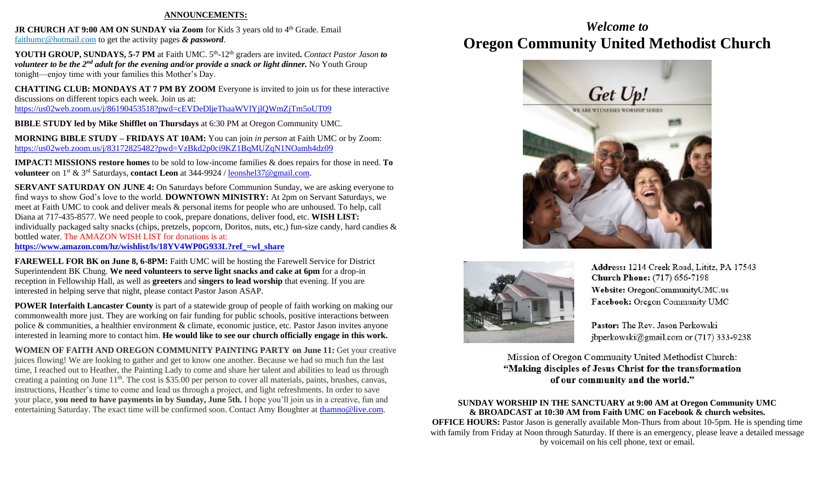#### **ANNOUNCEMENTS:**

**JR CHURCH AT 9:00 AM ON SUNDAY via Zoom for Kids 3 years old to 4<sup>th</sup> Grade. Email** [faithumc@hotmail.com](about:blank) to get the activity pages *& password*.

YOUTH GROUP, SUNDAYS, 5-7 PM at Faith UMC. 5<sup>th</sup>-12<sup>th</sup> graders are invited. *Contact Pastor Jason to volunteer to be the 2nd adult for the evening and/or provide a snack or light dinner.* No Youth Group tonight—enjoy time with your families this Mother's Day.

**CHATTING CLUB: MONDAYS AT 7 PM BY ZOOM** Everyone is invited to join us for these interactive discussions on different topics each week. Join us at: <https://us02web.zoom.us/j/86190453518?pwd=cEVDeDljeThaaWVlYjlQWmZjTm5oUT09>

**BIBLE STUDY led by Mike Shifflet on Thursdays** at 6:30 PM at Oregon Community UMC.

**MORNING BIBLE STUDY – FRIDAYS AT 10AM:** You can join *in person* at Faith UMC or by Zoom: <https://us02web.zoom.us/j/83172825482?pwd=VzBkd2p0ci9KZ1BqMUZqN1NOamh4dz09>

**IMPACT! MISSIONS restore homes** to be sold to low-income families & does repairs for those in need. **To volunteer** on 1st & 3rd Saturdays, **contact Leon** at 344-9924 / [leonshel37@gmail.com.](about:blank)

**SERVANT SATURDAY ON JUNE 4:** On Saturdays before Communion Sunday, we are asking everyone to find ways to show God's love to the world. **DOWNTOWN MINISTRY:** At 2pm on Servant Saturdays, we meet at Faith UMC to cook and deliver meals & personal items for people who are unhoused. To help, call Diana at 717-435-8577. We need people to cook, prepare donations, deliver food, etc. **WISH LIST:**  individually packaged salty snacks (chips, pretzels, popcorn, Doritos, nuts, etc,) fun-size candy, hard candies & bottled water. The AMAZON WISH LIST for donations is at: **[https://www.amazon.com/hz/wishlist/ls/18YV4WP0G933L?ref\\_=wl\\_share](https://www.amazon.com/hz/wishlist/ls/18YV4WP0G933L?ref_=wl_share)**

**FAREWELL FOR BK on June 8, 6-8PM:** Faith UMC will be hosting the Farewell Service for District Superintendent BK Chung. **We need volunteers to serve light snacks and cake at 6pm** for a drop-in reception in Fellowship Hall, as well as **greeters** and **singers to lead worship** that evening. If you are interested in helping serve that night, please contact Pastor Jason ASAP.

**POWER Interfaith Lancaster County** is part of a statewide group of people of faith working on making our commonwealth more just. They are working on fair funding for public schools, positive interactions between police & communities, a healthier environment & climate, economic justice, etc. Pastor Jason invites anyone interested in learning more to contact him. **He would like to see our church officially engage in this work.**

**WOMEN OF FAITH AND OREGON COMMUNITY PAINTING PARTY on June 11:** Get your creative juices flowing! We are looking to gather and get to know one another. Because we had so much fun the last time, I reached out to Heather, the Painting Lady to come and share her talent and abilities to lead us through creating a painting on June 11<sup>th</sup>. The cost is \$35.00 per person to cover all materials, paints, brushes, canvas, instructions, Heather's time to come and lead us through a project, and light refreshments. In order to save your place, **you need to have payments in by Sunday, June 5th.** I hope you'll join us in a creative, fun and entertaining Saturday. The exact time will be confirmed soon. Contact Amy Boughter at [thamno@live.com.](mailto:thamno@live.com)

## *Welcome to* **Oregon Community United Methodist Church**





Address: 1214 Creek Road, Lititz, PA 17543 **Church Phone:** (717) 656-7198 Website: OregonCommunityUMC.us Facebook: Oregon Community UMC

Pastor: The Rev. Jason Perkowski jbperkowski@gmail.com or (717) 333-9238

Mission of Oregon Community United Methodist Church: "Making disciples of Jesus Christ for the transformation of our community and the world."

**SUNDAY WORSHIP IN THE SANCTUARY at 9:00 AM at Oregon Community UMC & BROADCAST at 10:30 AM from Faith UMC on Facebook & church websites. OFFICE HOURS:** Pastor Jason is generally available Mon-Thurs from about 10-5pm. He is spending time with family from Friday at Noon through Saturday. If there is an emergency, please leave a detailed message by voicemail on his cell phone, text or email.